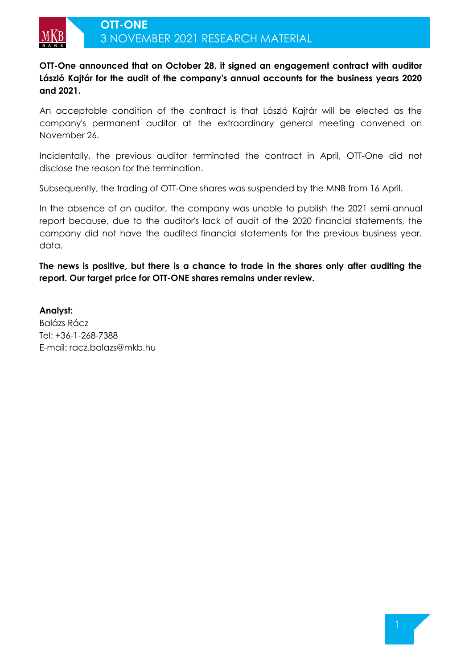

**OTT-One announced that on October 28, it signed an engagement contract with auditor László Kajtár for the audit of the company's annual accounts for the business years 2020 and 2021.**

An acceptable condition of the contract is that László Kajtár will be elected as the company's permanent auditor at the extraordinary general meeting convened on November 26.

Incidentally, the previous auditor terminated the contract in April, OTT-One did not disclose the reason for the termination.

Subsequently, the trading of OTT-One shares was suspended by the MNB from 16 April.

In the absence of an auditor, the company was unable to publish the 2021 semi-annual report because, due to the auditor's lack of audit of the 2020 financial statements, the company did not have the audited financial statements for the previous business year. data.

**The news is positive, but there is a chance to trade in the shares only after auditing the report. Our target price for OTT-ONE shares remains under review.**

**Analyst:**  Balázs Rácz Tel: +36-1-268-7388 E-mail: racz.balazs@mkb.hu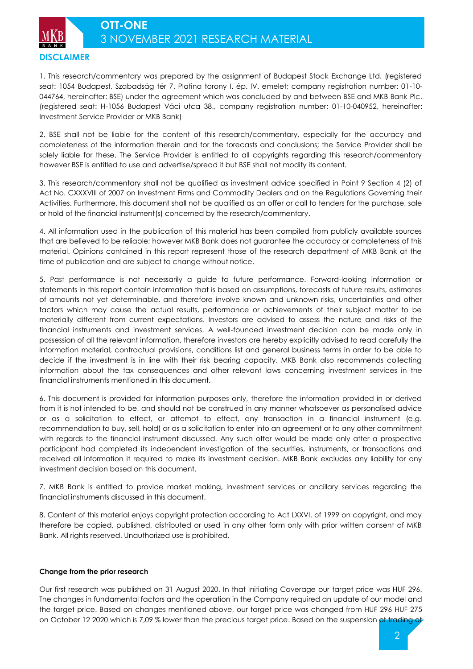**DISCLAIMER**

1. This research/commentary was prepared by the assignment of Budapest Stock Exchange Ltd. (registered seat: 1054 Budapest, Szabadság tér 7. Platina torony I. ép. IV. emelet; company registration number: 01-10- 044764, hereinafter: BSE) under the agreement which was concluded by and between BSE and MKB Bank Plc. (registered seat: H-1056 Budapest Váci utca 38., company registration number: 01-10-040952, hereinafter: Investment Service Provider or MKB Bank)

2. BSE shall not be liable for the content of this research/commentary, especially for the accuracy and completeness of the information therein and for the forecasts and conclusions; the Service Provider shall be solely liable for these. The Service Provider is entitled to all copyrights regarding this research/commentary however BSE is entitled to use and advertise/spread it but BSE shall not modify its content.

3. This research/commentary shall not be qualified as investment advice specified in Point 9 Section 4 (2) of Act No. CXXXVIII of 2007 on Investment Firms and Commodity Dealers and on the Regulations Governing their Activities. Furthermore, this document shall not be qualified as an offer or call to tenders for the purchase, sale or hold of the financial instrument(s) concerned by the research/commentary.

4. All information used in the publication of this material has been compiled from publicly available sources that are believed to be reliable; however MKB Bank does not guarantee the accuracy or completeness of this material. Opinions contained in this report represent those of the research department of MKB Bank at the time of publication and are subject to change without notice.

5. Past performance is not necessarily a guide to future performance. Forward-looking information or statements in this report contain information that is based on assumptions, forecasts of future results, estimates of amounts not yet determinable, and therefore involve known and unknown risks, uncertainties and other factors which may cause the actual results, performance or achievements of their subject matter to be materially different from current expectations. Investors are advised to assess the nature and risks of the financial instruments and investment services. A well-founded investment decision can be made only in possession of all the relevant information, therefore investors are hereby explicitly advised to read carefully the information material, contractual provisions, conditions list and general business terms in order to be able to decide if the investment is in line with their risk bearing capacity. MKB Bank also recommends collecting information about the tax consequences and other relevant laws concerning investment services in the financial instruments mentioned in this document.

6. This document is provided for information purposes only, therefore the information provided in or derived from it is not intended to be, and should not be construed in any manner whatsoever as personalised advice or as a solicitation to effect, or attempt to effect, any transaction in a financial instrument (e.g. recommendation to buy, sell, hold) or as a solicitation to enter into an agreement or to any other commitment with regards to the financial instrument discussed. Any such offer would be made only after a prospective participant had completed its independent investigation of the securities, instruments, or transactions and received all information it required to make its investment decision. MKB Bank excludes any liability for any investment decision based on this document.

7. MKB Bank is entitled to provide market making, investment services or ancillary services regarding the financial instruments discussed in this document.

8. Content of this material enjoys copyright protection according to Act LXXVI. of 1999 on copyright, and may therefore be copied, published, distributed or used in any other form only with prior written consent of MKB Bank. All rights reserved. Unauthorized use is prohibited.

### **Change from the prior research**

Our first research was published on 31 August 2020. In that Initiating Coverage our target price was HUF 296. The changes in fundamental factors and the operation in the Company required an update of our model and the target price. Based on changes mentioned above, our target price was changed from HUF 296 HUF 275 on October 12 2020 which is 7,09 % lower than the precious target price. Based on the suspension of trading of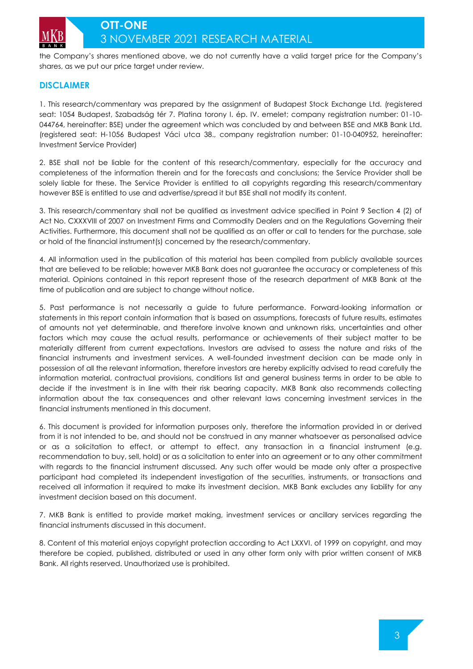

the Company's shares mentioned above, we do not currently have a valid target price for the Company's shares, as we put our price target under review.

## **DISCLAIMER**

1. This research/commentary was prepared by the assignment of Budapest Stock Exchange Ltd. (registered seat: 1054 Budapest, Szabadság tér 7. Platina torony I. ép. IV. emelet; company registration number: 01-10- 044764, hereinafter: BSE) under the agreement which was concluded by and between BSE and MKB Bank Ltd. (registered seat: H-1056 Budapest Váci utca 38., company registration number: 01-10-040952, hereinafter: Investment Service Provider)

2. BSE shall not be liable for the content of this research/commentary, especially for the accuracy and completeness of the information therein and for the forecasts and conclusions; the Service Provider shall be solely liable for these. The Service Provider is entitled to all copyrights regarding this research/commentary however BSE is entitled to use and advertise/spread it but BSE shall not modify its content.

3. This research/commentary shall not be qualified as investment advice specified in Point 9 Section 4 (2) of Act No. CXXXVIII of 2007 on Investment Firms and Commodity Dealers and on the Regulations Governing their Activities. Furthermore, this document shall not be qualified as an offer or call to tenders for the purchase, sale or hold of the financial instrument(s) concerned by the research/commentary.

4. All information used in the publication of this material has been compiled from publicly available sources that are believed to be reliable; however MKB Bank does not guarantee the accuracy or completeness of this material. Opinions contained in this report represent those of the research department of MKB Bank at the time of publication and are subject to change without notice.

5. Past performance is not necessarily a guide to future performance. Forward-looking information or statements in this report contain information that is based on assumptions, forecasts of future results, estimates of amounts not yet determinable, and therefore involve known and unknown risks, uncertainties and other factors which may cause the actual results, performance or achievements of their subject matter to be materially different from current expectations. Investors are advised to assess the nature and risks of the financial instruments and investment services. A well-founded investment decision can be made only in possession of all the relevant information, therefore investors are hereby explicitly advised to read carefully the information material, contractual provisions, conditions list and general business terms in order to be able to decide if the investment is in line with their risk bearing capacity. MKB Bank also recommends collecting information about the tax consequences and other relevant laws concerning investment services in the financial instruments mentioned in this document.

6. This document is provided for information purposes only, therefore the information provided in or derived from it is not intended to be, and should not be construed in any manner whatsoever as personalised advice or as a solicitation to effect, or attempt to effect, any transaction in a financial instrument (e.g. recommendation to buy, sell, hold) or as a solicitation to enter into an agreement or to any other commitment with regards to the financial instrument discussed. Any such offer would be made only after a prospective participant had completed its independent investigation of the securities, instruments, or transactions and received all information it required to make its investment decision. MKB Bank excludes any liability for any investment decision based on this document.

7. MKB Bank is entitled to provide market making, investment services or ancillary services regarding the financial instruments discussed in this document.

8. Content of this material enjoys copyright protection according to Act LXXVI. of 1999 on copyright, and may therefore be copied, published, distributed or used in any other form only with prior written consent of MKB Bank. All rights reserved. Unauthorized use is prohibited.